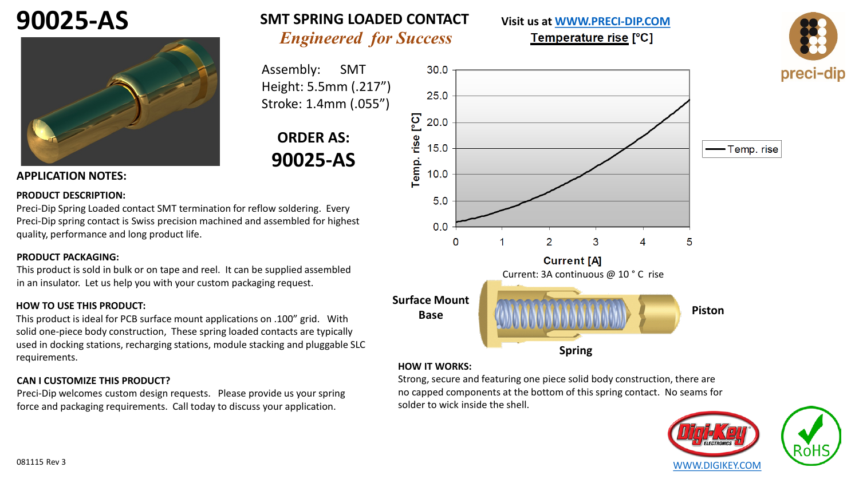# **90025-AS**



### *Engineered for Success* **SMT SPRING LOADED CONTACT**

Assembly: SMT Height: 5.5mm (.217") Stroke: 1.4mm (.055")

## **ORDER AS: 90025-AS**

#### **APPLICATION NOTES:**

#### **PRODUCT DESCRIPTION:**

Preci-Dip Spring Loaded contact SMT termination for reflow soldering. Every Preci-Dip spring contact is Swiss precision machined and assembled for highest quality, performance and long product life.

#### **PRODUCT PACKAGING:**

This product is sold in bulk or on tape and reel. It can be supplied assembled in an insulator. Let us help you with your custom packaging request.

#### **HOW TO USE THIS PRODUCT:**

This product is ideal for PCB surface mount applications on .100" grid. With solid one-piece body construction, These spring loaded contacts are typically used in docking stations, recharging stations, module stacking and pluggable SLC requirements.

#### **CAN I CUSTOMIZE THIS PRODUCT?**

Preci-Dip welcomes custom design requests. Please provide us your spring force and packaging requirements. Call today to discuss your application.



**Visit us at [WWW.PRECI-DIP.COM](http://www.precidip.com/Default.aspx)**

Temperature rise [°C]

#### **HOW IT WORKS:**

Strong, secure and featuring one piece solid body construction, there are no capped components at the bottom of this spring contact. No seams for solder to wick inside the shell.